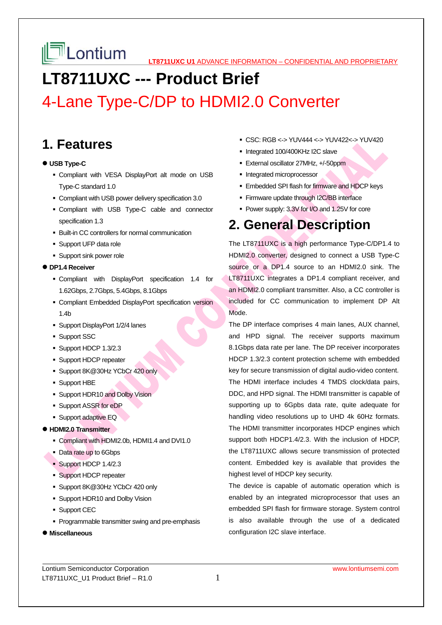## **LT8711UXC --- Product Brief**

# 4-Lane Type-C/DP to HDMI2.0 Converter

### **1. Features**

#### **USB Type-C**

- Compliant with VESA DisplayPort alt mode on USB Type-C standard 1.0
- Compliant with USB power delivery specification 3.0
- Compliant with USB Type-C cable and connector specification 1.3
- Built-in CC controllers for normal communication
- Support UFP data role
- **Support sink power role**
- **DP1.4 Receiver** 
	- Compliant with DisplayPort specification 1.4 for 1.62Gbps, 2.7Gbps, 5.4Gbps, 8.1Gbps
	- Compliant Embedded DisplayPort specification version 1.4b
	- Support DisplayPort 1/2/4 lanes
	- **Support SSC**
	- Support HDCP 1.3/2.3
	- **Support HDCP repeater**
	- Support 8K@30Hz YCbCr 420 only
	- **Support HBE**
	- **Support HDR10 and Dolby Vision**
	- Support ASSR for eDP
	- **Support adaptive EQ**

#### **HDMI2.0 Transmitter**

- Compliant with HDMI2.0b, HDMI1.4 and DVI1.0
- Data rate up to 6Gbps
- Support HDCP 1.4/2.3
- **Support HDCP repeater**
- Support 8K@30Hz YCbCr 420 only
- **Support HDR10 and Dolby Vision**
- **Support CEC**
- Programmable transmitter swing and pre-emphasis
- **Miscellaneous**
- CSC: RGB <-> YUV444 <-> YUV422<-> YUV420
- Integrated 100/400KHz I2C slave
- External oscillator 27MHz, +/-50ppm
- **Integrated microprocessor**
- **Embedded SPI flash for firmware and HDCP keys**
- **Firmware update through I2C/BB interface**
- Power supply: 3.3V for I/O and 1.25V for core

### **2. General Description**

The LT8711UXC is a high performance Type-C/DP1.4 to HDMI2.0 converter, designed to connect a USB Type-C source or a DP1.4 source to an HDMI2.0 sink. The LT8711UXC integrates a DP1.4 compliant receiver, and an HDMI2.0 compliant transmitter. Also, a CC controller is included for CC communication to implement DP Alt Mode.

The DP interface comprises 4 main lanes, AUX channel, and HPD signal. The receiver supports maximum 8.1Gbps data rate per lane. The DP receiver incorporates HDCP 1.3/2.3 content protection scheme with embedded key for secure transmission of digital audio-video content. The HDMI interface includes 4 TMDS clock/data pairs, DDC, and HPD signal. The HDMI transmitter is capable of supporting up to 6Gpbs data rate, quite adequate for handling video resolutions up to UHD 4k 60Hz formats. The HDMI transmitter incorporates HDCP engines which support both HDCP1.4/2.3. With the inclusion of HDCP, the LT8711UXC allows secure transmission of protected content. Embedded key is available that provides the highest level of HDCP key security.

The device is capable of automatic operation which is enabled by an integrated microprocessor that uses an embedded SPI flash for firmware storage. System control is also available through the use of a dedicated configuration I2C slave interface.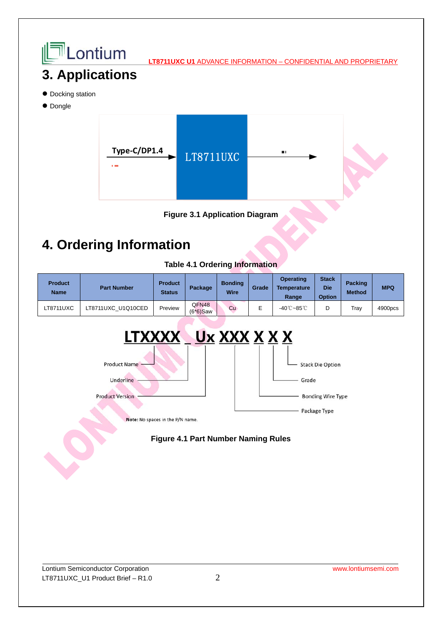



### **4. Ordering Information**

**Table 4.1 Ordering Information** 

| <b>Product</b><br><b>Name</b> | <b>Part Number</b> | <b>Product</b><br><b>Status</b> | Package | <b>Bonding</b><br><b>Wire</b> | Grade | <b>Operating</b><br><b>Temperature</b><br>Range | <b>Stack</b><br><b>Die</b><br><b>Option</b> | <b>Packing</b><br><b>Method</b> | <b>MPQ</b> |
|-------------------------------|--------------------|---------------------------------|---------|-------------------------------|-------|-------------------------------------------------|---------------------------------------------|---------------------------------|------------|
|                               |                    |                                 |         |                               |       |                                                 |                                             |                                 |            |



#### **Figure 4.1 Part Number Naming Rules**